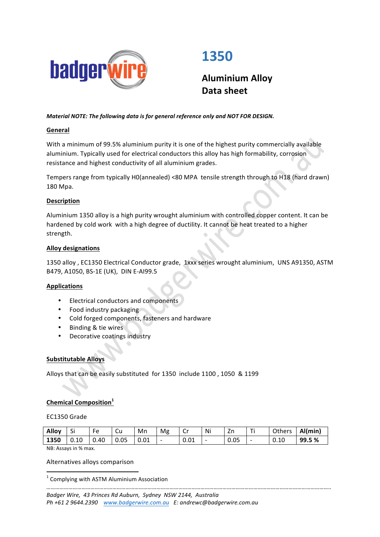

# **1350**

**Aluminium Alloy Data sheet**

# *Material NOTE: The following data is for general reference only and NOT FOR DESIGN.*

# **General**

With a minimum of 99.5% aluminium purity it is one of the highest purity commercially available aluminium. Typically used for electrical conductors this alloy has high formability, corrosion resistance and highest conductivity of all aluminium grades.

Tempers range from typically H0(annealed) <80 MPA tensile strength through to H18 (hard drawn) 180 Mpa.

# **Description**

Aluminium 1350 alloy is a high purity wrought aluminium with controlled copper content. It can be hardened by cold work with a high degree of ductility. It cannot be heat treated to a higher strength.

## **Alloy designations**

1350 alloy, EC1350 Electrical Conductor grade, 1xxx series wrought aluminium, UNS A91350, ASTM B479, A1050, BS-1E (UK), DIN E-AI99.5

## **Applications**

- Electrical conductors and components
- Food industry packaging
- Cold forged components, fasteners and hardware
- Binding & tie wires
- Decorative coatings industry

## **Substitutable Alloys**

Alloys that can be easily substituted for 1350 include 1100, 1050 & 1199

# **Chemical Composition<sup>1</sup>**

## EC1350 Grade

| Alloy             | C:<br>ગ | Fe   | cи   | Mn   | Mg                       | $\sim$<br>U | Ni                       | Zn   | Ti                       | Others | Al(min) |
|-------------------|---------|------|------|------|--------------------------|-------------|--------------------------|------|--------------------------|--------|---------|
| 1350              | 0.10    | 0.40 | 0.05 | 0.01 | $\overline{\phantom{a}}$ | 0.01        | $\overline{\phantom{a}}$ | 0.05 | $\overline{\phantom{0}}$ | 0.10   | 99.5 %  |
| $\cdots$ $\cdots$ |         |      |      |      |                          |             |                          |      |                          |        |         |

*…………………………………………………………………………………………………………………………………………………………………………..*

NB: Assays in % max.

# Alternatives alloys comparison <u> 1989 - Jan Samuel Barbara, margaret e</u>

 $1$  Complying with ASTM Aluminium Association